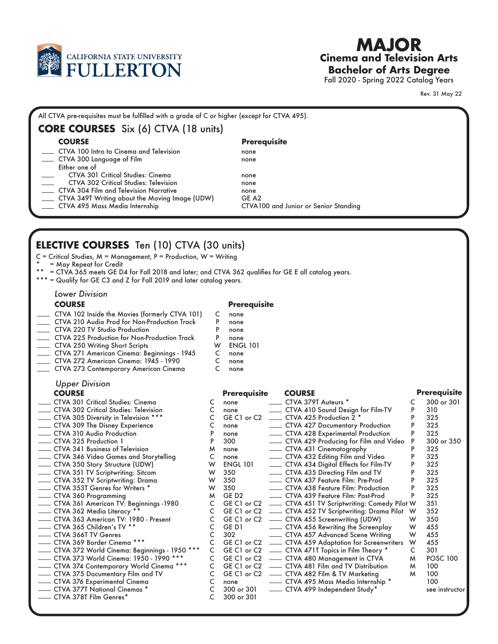

# **Cinema and Television Arts Bachelor of Arts Degree MAJOR**

Fall 2020 - Spring 2022 Catalog Years

Rev. 31 May 22

### **CORE COURSES** Six (6) CTVA (18 units) CTVA 100 Intro to Cinema and Television CTVA 300 Language of Film Either one of CTVA 301 Critical Studies: Cinema CTVA 302 Critical Studies: Television CTVA 304 Film and Television Narrative CTVA 349T Writing about the Moving Image (UDW) CTVA 495 Mass Media Internship none none none none none GE A2 CTVA100 and Junior or Senior Standing **COURSE Prerequisite** All CTVA pre-requisites must be fulfilled with a grade of C or higher (except for CTVA 495).

# **ELECTIVE COURSES** Ten (10) CTVA (30 units)

C = Critical Studies, M = Management, P = Production, W = Writing

\* = May Repeat for Credit<br>\*\* = CIVA 345 meets CED

= CTVA 365 meets GE D4 for Fall 2018 and later; and CTVA 362 qualifies for GE E all catalog years.

\*\*\* = Qualify for GE C3 and Z for Fall 2019 and later catalog years.

*Lower Division*

## **COURSE**

- CTVA 102 Inside the Movies (formerly CTVA 101) CTVA 210 Audio Prod for Non-Production Track
- CTVA 220 TV Studio Production
- CTVA 225 Production for Non-Production Track
- CTVA 250 Writing Short Scripts
- CTVA 271 American Cinema: Beginnings 1945
- CTVA 272 American Cinema: 1945 1990 CTVA 273 Contemporary American Cinema

# *Upper Division*

- CTVA 301 Critical Studies: Cinema CTVA 302 Critical Studies: Television
- CTVA 305 Diversity in Television \*\*\*
- CTVA 309 The Disney Experience
- CTVA 310 Audio Production
- CTVA 325 Production 1
- CTVA 341 Business of Television
- CTVA 346 Video Games and Storytelling
- CTVA 350 Story Structure (UDW)
- CTVA 351 TV Scriptwriting: Sitcom
- CTVA 352 TV Scriptwriting: Drama
- CTVA 353T Genres for Writers \*
- CTVA 360 Programming
- CTVA 361 American TV: Beginnings -1980
- CTVA 362 Media Literacy † CTVA 363 American TV: 1980 - Present
- CTVA 365 Children's TV \*\* CTVA 366T TV Genres
- CTVA 369 Border Cinema \*\*\*
- CTVA 372 World Cinema: Beginnings 1950 \*\*\*
- CTVA 373 World Cinema: 1950 1990 \*\*\*
- CTVA 374 Contemporary World Cinema \*\*\*
- CTVA 375 Documentary Film and TV
- CTVA 376 Experimental Cinema
- CTVA 377T National Cinemas \* CTVA 378T Film Genres\*

## **Prerequisite**

- none C
- none P
- none P
- none P
- ENGL 101 W none C
- none C
- none C

| <b>UPPEI DIVISION</b>                        |              |                     |                                                            |   |                     |
|----------------------------------------------|--------------|---------------------|------------------------------------------------------------|---|---------------------|
| <b>COURSE</b>                                |              | <b>Prerequisite</b> | <b>COURSE</b>                                              |   | <b>Prerequisite</b> |
| CTVA 301 Critical Studies: Cinema            | C            | none                | CTVA 379T Auteurs *                                        |   | 300 or 301          |
| CTVA 302 Critical Studies: Television        | C            | none                | CTVA 410 Sound Design for Film-TV                          | P | 310                 |
| CTVA 305 Diversity in Television ***         | $\mathsf{C}$ |                     | GE C1 or C2 _______ CTVA 425 Production 2 *                | P | 325                 |
| CTVA 309 The Disney Experience               | C            | none                | - CTVA 427 Documentary Production                          |   | 325                 |
| CTVA 310 Audio Production                    | P            | none                | - CTVA 428 Experimental Production                         | P | 325                 |
| CTVA 325 Production 1                        | P            | 300                 | CTVA 429 Producing for Film and Video                      | P | 300 or 350          |
| CTVA 341 Business of Television              | M            | none                | - CTVA 431 Cinematography                                  | P | 325                 |
| CTVA 346 Video Games and Storytelling        | C            | none                | - CTVA 432 Editing Film and Video                          |   | 325                 |
| CTVA 350 Story Structure (UDW)               | W            | <b>ENGL 101</b>     | CTVA 434 Digital Effects for Film-TV                       |   | 325                 |
| CTVA 351 TV Scriptwriting: Sitcom            | W            | 350                 | - CTVA 435 Directing Film and TV                           |   | 325                 |
| CTVA 352 TV Scriptwriting: Drama             | W            | 350                 | ___ CTVA 437 Feature Film: Pre-Prod                        |   | 325                 |
| CTVA 353T Genres for Writers *               | W            | 350                 | - CTVA 438 Feature Film: Production                        |   | 325                 |
| CTVA 360 Programming                         | M            | GE D <sub>2</sub>   | CTVA 439 Feature Film: Post-Prod                           | P | 325                 |
| CTVA 361 American TV: Beginnings -1980       |              |                     | C GE C1 or C2 __ CTVA 451 TV Scriptwriting: Comedy Pilot W |   | 351                 |
| CTVA 362 Media Literacy **                   | $\mathsf{C}$ |                     | GE C1 or C2 __ CTVA 452 TV Scriptwriting: Drama Pilot W    |   | 352                 |
| CTVA 363 American TV: 1980 - Present         | C            |                     | GE C1 or C2 __ CTVA 455 Screenwriting (UDW)                | W | 350                 |
| CTVA 365 Children's TV **                    | C            |                     | GE D1 ________ CTVA 456 Rewriting the Screenplay           | W | 455                 |
| CTVA 366T TV Genres                          | C            |                     |                                                            | W | 455                 |
| CTVA 369 Border Cinema ***                   | C            |                     | GE C1 or C2 - CTVA 459 Adaptation for Screenwriters        | W | 455                 |
| CTVA 372 World Cinema: Beginnings - 1950 *** | C            |                     | GE C1 or C2 __ CTVA 471T Topics in Film Theory *           | C | 301                 |
| CTVA 373 World Cinema: 1950 - 1990 ***       | C            |                     | GE C1 or C2 - CTVA 480 Management in CTVA                  | M | <b>POSC 100</b>     |
| CTVA 374 Contemporary World Cinema ***       | C.           |                     | GE C1 or C2 - CTVA 481 Film and TV Distribution            | M | 100                 |
| CTVA 375 Documentary Film and TV             | C            |                     | GE C1 or C2 - CTVA 482 Film & TV Marketing                 | M | 100                 |
| CTVA 376 Experimental Cinema                 | C            |                     |                                                            |   | 100                 |
| CTVA 377T National Cinemas *                 | C            |                     | 300 or 301 - CTVA 499 Independent Study*                   |   | see instructor      |
| CTVA 378T Film Genres*                       |              | $300$ or $301$      |                                                            |   |                     |